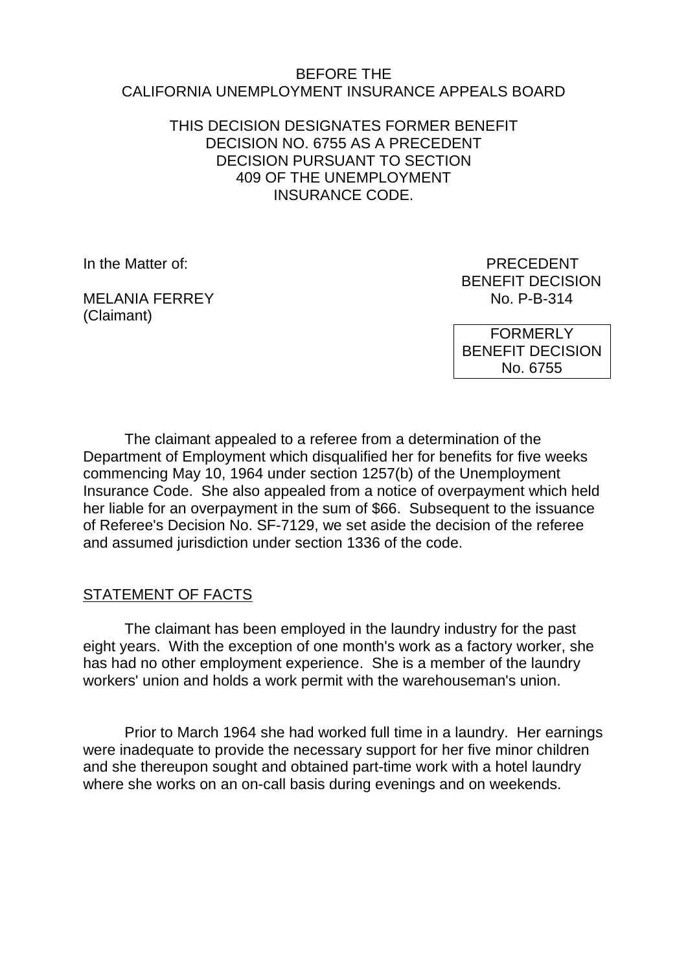#### BEFORE THE CALIFORNIA UNEMPLOYMENT INSURANCE APPEALS BOARD

#### THIS DECISION DESIGNATES FORMER BENEFIT DECISION NO. 6755 AS A PRECEDENT DECISION PURSUANT TO SECTION 409 OF THE UNEMPLOYMENT INSURANCE CODE.

In the Matter of: **PRECEDENT** 

MEI ANIA FFRRFY (Claimant)

BENEFIT DECISION<br>No. P-B-314

**FORMERLY** BENEFIT DECISION No. 6755

The claimant appealed to a referee from a determination of the Department of Employment which disqualified her for benefits for five weeks commencing May 10, 1964 under section 1257(b) of the Unemployment Insurance Code. She also appealed from a notice of overpayment which held her liable for an overpayment in the sum of \$66. Subsequent to the issuance of Referee's Decision No. SF-7129, we set aside the decision of the referee and assumed jurisdiction under section 1336 of the code.

## STATEMENT OF FACTS

The claimant has been employed in the laundry industry for the past eight years. With the exception of one month's work as a factory worker, she has had no other employment experience. She is a member of the laundry workers' union and holds a work permit with the warehouseman's union.

Prior to March 1964 she had worked full time in a laundry. Her earnings were inadequate to provide the necessary support for her five minor children and she thereupon sought and obtained part-time work with a hotel laundry where she works on an on-call basis during evenings and on weekends.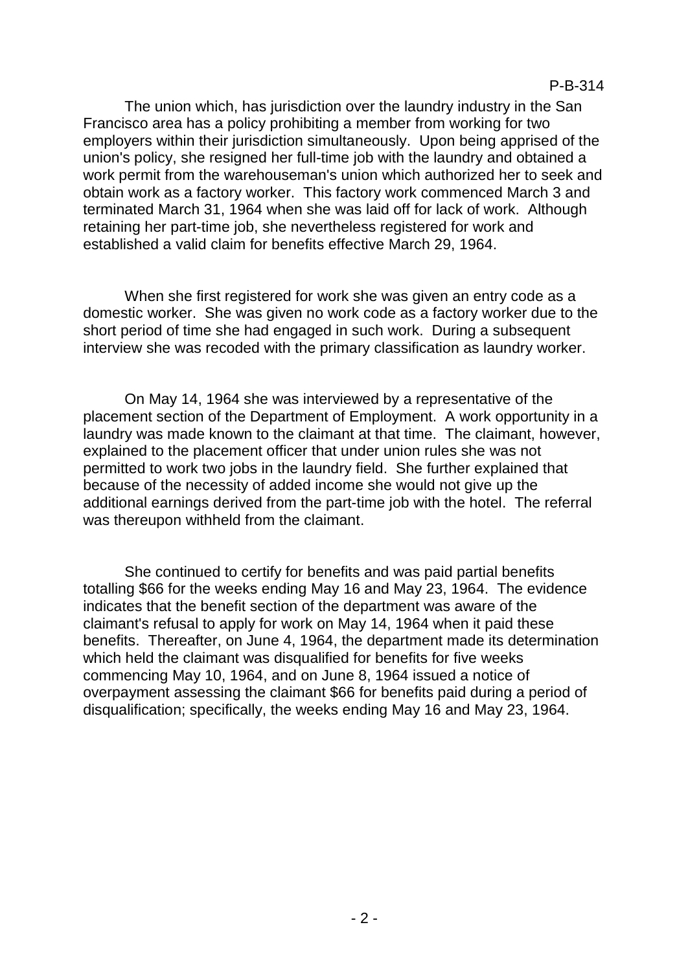The union which, has jurisdiction over the laundry industry in the San Francisco area has a policy prohibiting a member from working for two employers within their jurisdiction simultaneously. Upon being apprised of the union's policy, she resigned her full-time job with the laundry and obtained a work permit from the warehouseman's union which authorized her to seek and obtain work as a factory worker. This factory work commenced March 3 and terminated March 31, 1964 when she was laid off for lack of work. Although retaining her part-time job, she nevertheless registered for work and established a valid claim for benefits effective March 29, 1964.

When she first registered for work she was given an entry code as a domestic worker. She was given no work code as a factory worker due to the short period of time she had engaged in such work. During a subsequent interview she was recoded with the primary classification as laundry worker.

On May 14, 1964 she was interviewed by a representative of the placement section of the Department of Employment. A work opportunity in a laundry was made known to the claimant at that time. The claimant, however, explained to the placement officer that under union rules she was not permitted to work two jobs in the laundry field. She further explained that because of the necessity of added income she would not give up the additional earnings derived from the part-time job with the hotel. The referral was thereupon withheld from the claimant.

She continued to certify for benefits and was paid partial benefits totalling \$66 for the weeks ending May 16 and May 23, 1964. The evidence indicates that the benefit section of the department was aware of the claimant's refusal to apply for work on May 14, 1964 when it paid these benefits. Thereafter, on June 4, 1964, the department made its determination which held the claimant was disqualified for benefits for five weeks commencing May 10, 1964, and on June 8, 1964 issued a notice of overpayment assessing the claimant \$66 for benefits paid during a period of disqualification; specifically, the weeks ending May 16 and May 23, 1964.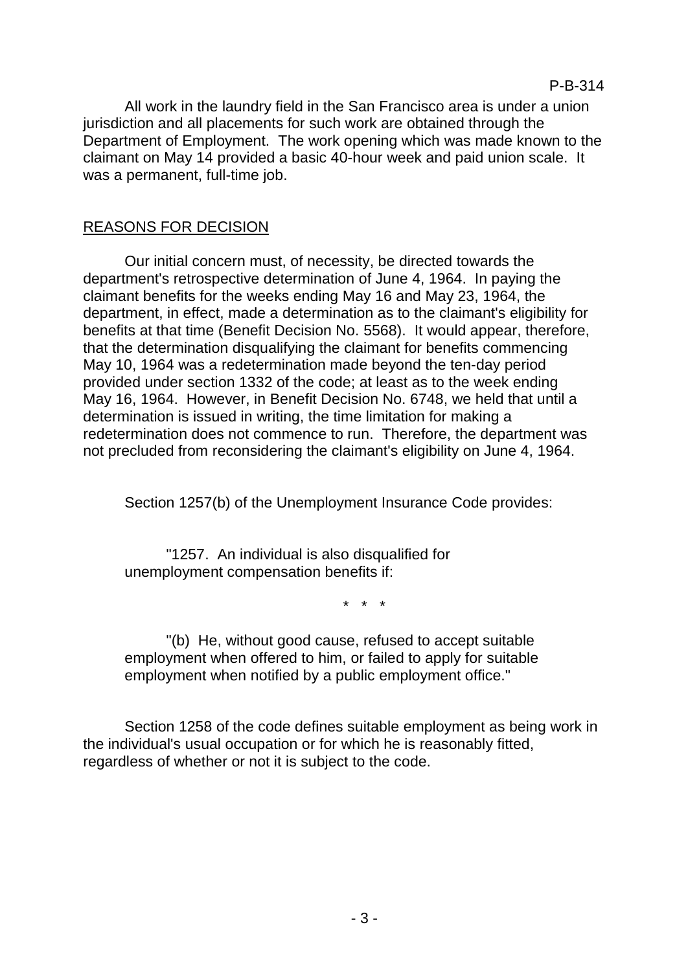All work in the laundry field in the San Francisco area is under a union jurisdiction and all placements for such work are obtained through the Department of Employment. The work opening which was made known to the claimant on May 14 provided a basic 40-hour week and paid union scale. It was a permanent, full-time job.

## REASONS FOR DECISION

Our initial concern must, of necessity, be directed towards the department's retrospective determination of June 4, 1964. In paying the claimant benefits for the weeks ending May 16 and May 23, 1964, the department, in effect, made a determination as to the claimant's eligibility for benefits at that time (Benefit Decision No. 5568). It would appear, therefore, that the determination disqualifying the claimant for benefits commencing May 10, 1964 was a redetermination made beyond the ten-day period provided under section 1332 of the code; at least as to the week ending May 16, 1964. However, in Benefit Decision No. 6748, we held that until a determination is issued in writing, the time limitation for making a redetermination does not commence to run. Therefore, the department was not precluded from reconsidering the claimant's eligibility on June 4, 1964.

Section 1257(b) of the Unemployment Insurance Code provides:

"1257. An individual is also disqualified for unemployment compensation benefits if:

\* \* \*

"(b) He, without good cause, refused to accept suitable employment when offered to him, or failed to apply for suitable employment when notified by a public employment office."

Section 1258 of the code defines suitable employment as being work in the individual's usual occupation or for which he is reasonably fitted, regardless of whether or not it is subject to the code.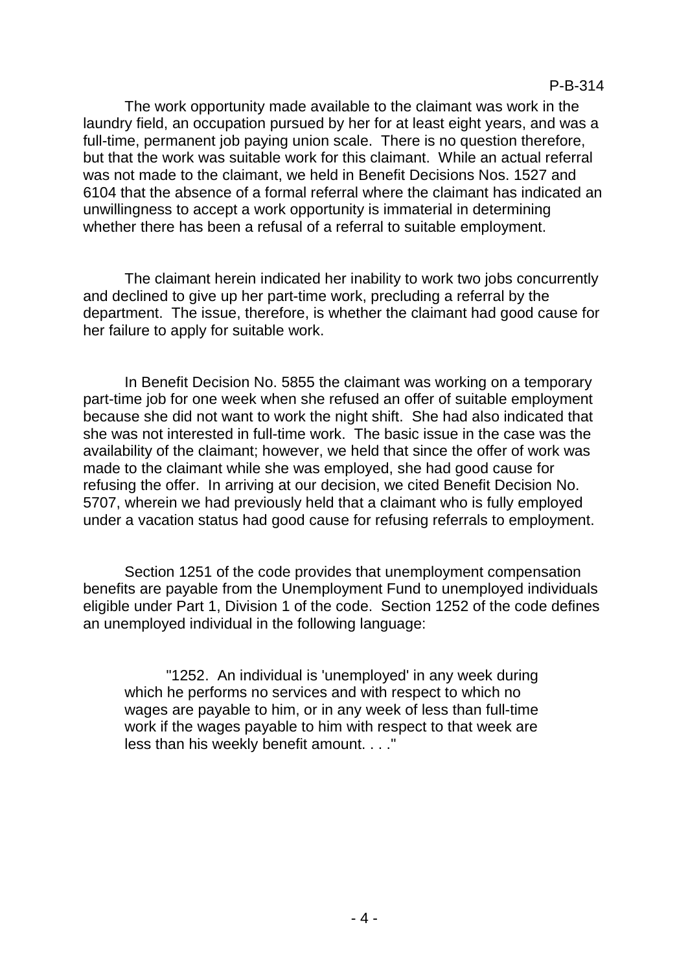The work opportunity made available to the claimant was work in the laundry field, an occupation pursued by her for at least eight years, and was a full-time, permanent job paying union scale. There is no question therefore, but that the work was suitable work for this claimant. While an actual referral was not made to the claimant, we held in Benefit Decisions Nos. 1527 and 6104 that the absence of a formal referral where the claimant has indicated an unwillingness to accept a work opportunity is immaterial in determining whether there has been a refusal of a referral to suitable employment.

The claimant herein indicated her inability to work two jobs concurrently and declined to give up her part-time work, precluding a referral by the department. The issue, therefore, is whether the claimant had good cause for her failure to apply for suitable work.

In Benefit Decision No. 5855 the claimant was working on a temporary part-time job for one week when she refused an offer of suitable employment because she did not want to work the night shift. She had also indicated that she was not interested in full-time work. The basic issue in the case was the availability of the claimant; however, we held that since the offer of work was made to the claimant while she was employed, she had good cause for refusing the offer. In arriving at our decision, we cited Benefit Decision No. 5707, wherein we had previously held that a claimant who is fully employed under a vacation status had good cause for refusing referrals to employment.

Section 1251 of the code provides that unemployment compensation benefits are payable from the Unemployment Fund to unemployed individuals eligible under Part 1, Division 1 of the code. Section 1252 of the code defines an unemployed individual in the following language:

"1252. An individual is 'unemployed' in any week during which he performs no services and with respect to which no wages are payable to him, or in any week of less than full-time work if the wages payable to him with respect to that week are less than his weekly benefit amount. . . ."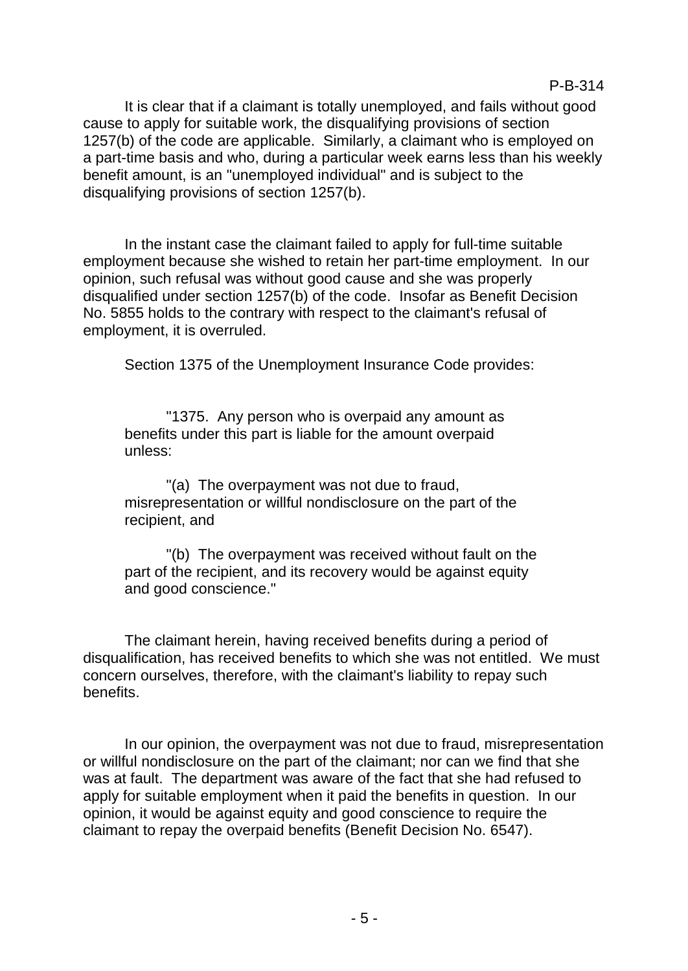It is clear that if a claimant is totally unemployed, and fails without good cause to apply for suitable work, the disqualifying provisions of section 1257(b) of the code are applicable. Similarly, a claimant who is employed on a part-time basis and who, during a particular week earns less than his weekly benefit amount, is an "unemployed individual" and is subject to the disqualifying provisions of section 1257(b).

In the instant case the claimant failed to apply for full-time suitable employment because she wished to retain her part-time employment. In our opinion, such refusal was without good cause and she was properly disqualified under section 1257(b) of the code. Insofar as Benefit Decision No. 5855 holds to the contrary with respect to the claimant's refusal of employment, it is overruled.

Section 1375 of the Unemployment Insurance Code provides:

"1375. Any person who is overpaid any amount as benefits under this part is liable for the amount overpaid unless:

"(a) The overpayment was not due to fraud, misrepresentation or willful nondisclosure on the part of the recipient, and

"(b) The overpayment was received without fault on the part of the recipient, and its recovery would be against equity and good conscience."

The claimant herein, having received benefits during a period of disqualification, has received benefits to which she was not entitled. We must concern ourselves, therefore, with the claimant's liability to repay such benefits.

In our opinion, the overpayment was not due to fraud, misrepresentation or willful nondisclosure on the part of the claimant; nor can we find that she was at fault. The department was aware of the fact that she had refused to apply for suitable employment when it paid the benefits in question. In our opinion, it would be against equity and good conscience to require the claimant to repay the overpaid benefits (Benefit Decision No. 6547).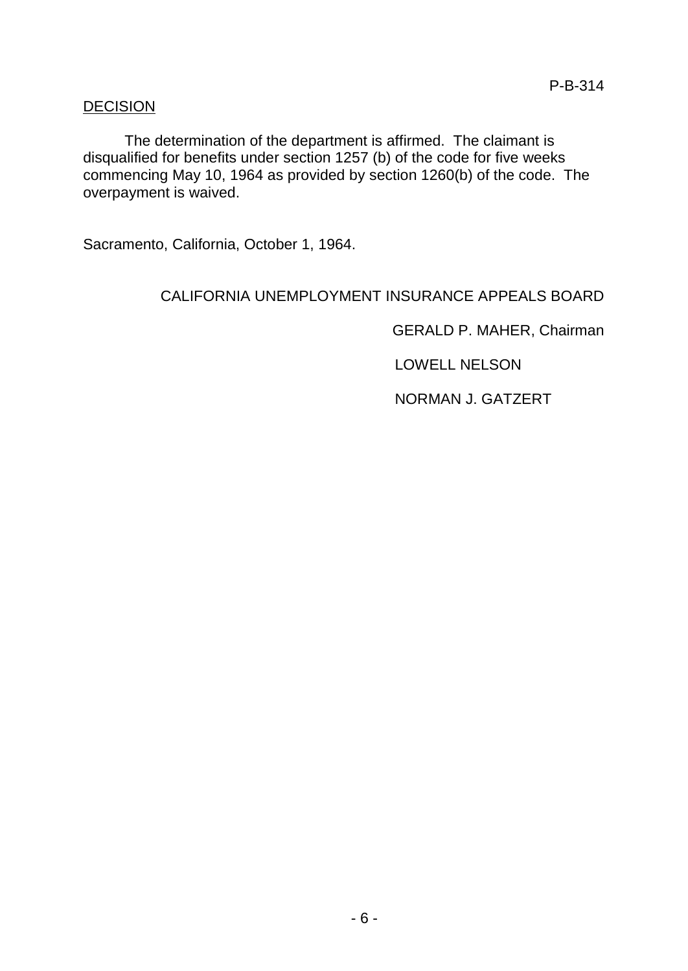## **DECISION**

The determination of the department is affirmed. The claimant is disqualified for benefits under section 1257 (b) of the code for five weeks commencing May 10, 1964 as provided by section 1260(b) of the code. The overpayment is waived.

Sacramento, California, October 1, 1964.

#### CALIFORNIA UNEMPLOYMENT INSURANCE APPEALS BOARD

GERALD P. MAHER, Chairman

LOWELL NELSON

NORMAN J. GATZERT